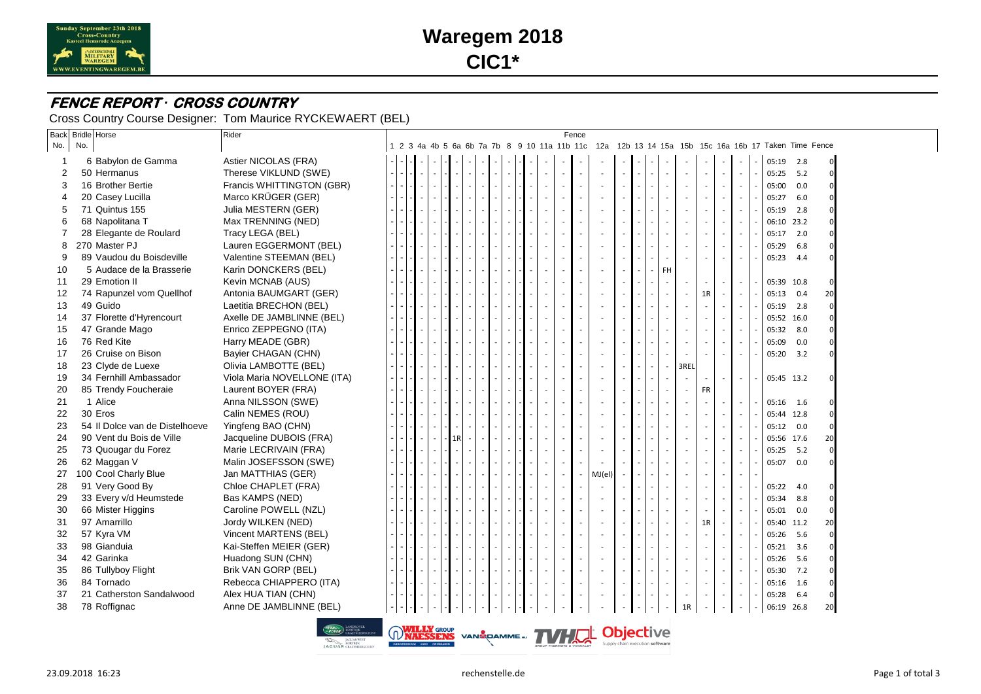

# **Waregem 2018 CIC1\***

#### **FENCE REPORT** *·* **CROSS COUNTRY**

Cross Country Course Designer: Tom Maurice RYCKEWAERT (BEL)

| <b>Back</b>    |     | <b>Bridle Horse</b>            | Rider                                                     |  |  |    |  |  |  |                          | Fence |                                         |  |                          |      |    |        |        |                                                                                                    |     |              |  |
|----------------|-----|--------------------------------|-----------------------------------------------------------|--|--|----|--|--|--|--------------------------|-------|-----------------------------------------|--|--------------------------|------|----|--------|--------|----------------------------------------------------------------------------------------------------|-----|--------------|--|
| No.            | No. |                                |                                                           |  |  |    |  |  |  |                          |       |                                         |  |                          |      |    |        |        | 1 2 3 4a 4b 5 6a 6b 7a 7b 8 9 10 11a 11b 11c 12a 12b 13 14 15a 15b 15c 16a 16b 17 Taken Time Fence |     |              |  |
|                |     | 6 Babylon de Gamma             | Astier NICOLAS (FRA)                                      |  |  |    |  |  |  |                          |       |                                         |  |                          |      |    |        |        | 05:19 2.8                                                                                          |     | $\mathbf{0}$ |  |
| 2              |     | 50 Hermanus                    | Therese VIKLUND (SWE)                                     |  |  |    |  |  |  |                          |       |                                         |  |                          |      |    | $\sim$ | $\sim$ | 05:25                                                                                              | 5.2 | $\Omega$     |  |
| 3              |     | 16 Brother Bertie              | Francis WHITTINGTON (GBR)                                 |  |  |    |  |  |  |                          |       |                                         |  |                          |      |    | $\sim$ | $\sim$ | 05:00                                                                                              | 0.0 | $\Omega$     |  |
| 4              |     | 20 Casey Lucilla               | Marco KRÜGER (GER)                                        |  |  |    |  |  |  |                          |       |                                         |  |                          |      |    |        | $\sim$ | 05:27                                                                                              | 6.0 | $\Omega$     |  |
| 5              |     | 71 Quintus 155                 | Julia MESTERN (GER)                                       |  |  |    |  |  |  |                          |       |                                         |  |                          |      |    | $\sim$ | $\sim$ | 05:19                                                                                              | 2.8 |              |  |
| 6              |     | 68 Napolitana T                | Max TRENNING (NED)                                        |  |  |    |  |  |  |                          |       |                                         |  |                          |      |    |        | $\sim$ | 06:10 23.2                                                                                         |     |              |  |
| $\overline{7}$ |     | 28 Elegante de Roulard         | Tracy LEGA (BEL)                                          |  |  |    |  |  |  |                          |       |                                         |  |                          |      |    |        | $\sim$ | 05:17                                                                                              | 2.0 |              |  |
| 8              |     | 270 Master PJ                  | Lauren EGGERMONT (BEL)                                    |  |  |    |  |  |  |                          |       |                                         |  |                          |      |    |        | $\sim$ | 05:29                                                                                              | 6.8 | $\Omega$     |  |
| 9              |     | 89 Vaudou du Boisdeville       | Valentine STEEMAN (BEL)                                   |  |  |    |  |  |  |                          |       |                                         |  |                          |      |    |        | $\sim$ | 05:23 4.4                                                                                          |     |              |  |
| 10             |     | 5 Audace de la Brasserie       | Karin DONCKERS (BEL)                                      |  |  |    |  |  |  |                          |       |                                         |  | FH.                      |      |    |        |        |                                                                                                    |     |              |  |
| 11             |     | 29 Emotion II                  | Kevin MCNAB (AUS)                                         |  |  |    |  |  |  |                          |       |                                         |  |                          |      |    |        | $\sim$ | 05:39 10.8                                                                                         |     | $\Omega$     |  |
| 12             |     | 74 Rapunzel vom Quellhof       | Antonia BAUMGART (GER)                                    |  |  |    |  |  |  |                          |       |                                         |  |                          |      |    | 1R     | $\sim$ | 05:13                                                                                              | 0.4 | 20           |  |
| 13             |     | 49 Guido                       | Laetitia BRECHON (BEL)                                    |  |  |    |  |  |  |                          |       |                                         |  |                          |      |    | $\sim$ | $\sim$ | 05:19 2.8                                                                                          |     | $\Omega$     |  |
| 14             |     | 37 Florette d'Hyrencourt       | Axelle DE JAMBLINNE (BEL)                                 |  |  |    |  |  |  |                          |       |                                         |  |                          |      |    |        | $\sim$ | 05:52 16.0                                                                                         |     |              |  |
| 15             |     | 47 Grande Mago                 | Enrico ZEPPEGNO (ITA)                                     |  |  |    |  |  |  |                          |       |                                         |  |                          |      |    |        | $\sim$ | 05:32                                                                                              | 8.0 |              |  |
| 16             |     | 76 Red Kite                    | Harry MEADE (GBR)                                         |  |  |    |  |  |  |                          |       |                                         |  |                          |      |    |        | $\sim$ | 05:09                                                                                              | 0.0 | $\Omega$     |  |
| 17             |     | 26 Cruise on Bison             | Bayier CHAGAN (CHN)                                       |  |  |    |  |  |  |                          |       |                                         |  |                          |      |    |        | $\sim$ | 05:20 3.2                                                                                          |     |              |  |
| 18             |     | 23 Clyde de Luexe              | Olivia LAMBOTTE (BEL)                                     |  |  |    |  |  |  |                          |       |                                         |  | $\overline{\phantom{a}}$ | 3REL |    |        |        |                                                                                                    |     |              |  |
| 19             |     | 34 Fernhill Ambassador         | Viola Maria NOVELLONE (ITA)                               |  |  |    |  |  |  |                          |       |                                         |  |                          |      |    |        | $\sim$ | 05:45 13.2                                                                                         |     | $\Omega$     |  |
| 20             |     | 85 Trendy Foucheraie           | Laurent BOYER (FRA)                                       |  |  |    |  |  |  |                          |       |                                         |  |                          |      |    | FR     |        |                                                                                                    |     |              |  |
| 21             |     | 1 Alice                        | Anna NILSSON (SWE)                                        |  |  |    |  |  |  |                          |       |                                         |  |                          |      |    | $\sim$ | $\sim$ | 05:16 1.6                                                                                          |     |              |  |
| 22             |     | 30 Eros                        | Calin NEMES (ROU)                                         |  |  |    |  |  |  |                          |       |                                         |  |                          |      |    |        | $\sim$ | 05:44 12.8                                                                                         |     |              |  |
| 23             |     | 54 Il Dolce van de Distelhoeve | Yingfeng BAO (CHN)                                        |  |  |    |  |  |  |                          |       |                                         |  |                          |      |    |        | $\sim$ | 05:12 0.0                                                                                          |     | $\Omega$     |  |
| 24             |     | 90 Vent du Bois de Ville       | Jacqueline DUBOIS (FRA)                                   |  |  | 1R |  |  |  |                          |       |                                         |  |                          |      |    |        | $\sim$ | 05:56 17.6                                                                                         |     | 20           |  |
| 25             |     | 73 Quougar du Forez            | Marie LECRIVAIN (FRA)                                     |  |  |    |  |  |  |                          |       |                                         |  |                          |      |    |        | $\sim$ | 05:25                                                                                              | 5.2 | $\Omega$     |  |
| 26             |     | 62 Maggan V                    | Malin JOSEFSSON (SWE)                                     |  |  |    |  |  |  |                          |       |                                         |  |                          |      |    |        | $\sim$ | 05:07 0.0                                                                                          |     |              |  |
| 27             |     | 100 Cool Charly Blue           | Jan MATTHIAS (GER)                                        |  |  |    |  |  |  | $\overline{\phantom{a}}$ |       | MJ(el)                                  |  |                          |      |    |        | $\sim$ |                                                                                                    |     |              |  |
| 28             |     | 91 Very Good By                | Chloe CHAPLET (FRA)                                       |  |  |    |  |  |  |                          |       |                                         |  |                          |      |    |        | $\sim$ | 05:22                                                                                              | 4.0 | $\Omega$     |  |
| 29             |     | 33 Every v/d Heumstede         | Bas KAMPS (NED)                                           |  |  |    |  |  |  |                          |       |                                         |  |                          |      |    | $\sim$ | $\sim$ | 05:34                                                                                              | 8.8 | $\Omega$     |  |
| 30             |     | 66 Mister Higgins              | Caroline POWELL (NZL)                                     |  |  |    |  |  |  |                          |       |                                         |  |                          |      |    |        | $\sim$ | 05:01                                                                                              | 0.0 | $\Omega$     |  |
| 31             |     | 97 Amarrillo                   | Jordy WILKEN (NED)                                        |  |  |    |  |  |  |                          |       |                                         |  |                          |      |    | 1R     | $\sim$ | 05:40 11.2                                                                                         |     | 20           |  |
| 32             |     | 57 Kyra VM                     | Vincent MARTENS (BEL)                                     |  |  |    |  |  |  |                          |       |                                         |  |                          |      |    |        | $\sim$ | 05:26                                                                                              | 5.6 | $\mathbf 0$  |  |
| 33             |     | 98 Gianduia                    | Kai-Steffen MEIER (GER)                                   |  |  |    |  |  |  |                          |       |                                         |  |                          |      |    | $\sim$ | $\sim$ | 05:21                                                                                              | 3.6 | $\Omega$     |  |
| 34             |     | 42 Garinka                     | Huadong SUN (CHN)                                         |  |  |    |  |  |  |                          |       |                                         |  |                          |      |    |        | $\sim$ | 05:26                                                                                              | 5.6 | $\Omega$     |  |
| 35             |     | 86 Tullyboy Flight             | Brik VAN GORP (BEL)                                       |  |  |    |  |  |  |                          |       |                                         |  |                          |      |    | $\sim$ | $\sim$ | 05:30                                                                                              | 7.2 | $\Omega$     |  |
| 36             |     | 84 Tornado                     | Rebecca CHIAPPERO (ITA)                                   |  |  |    |  |  |  |                          |       |                                         |  |                          |      |    |        | $\sim$ | 05:16                                                                                              | 1.6 | $\mathbf 0$  |  |
| 37             |     | 21 Catherston Sandalwood       | Alex HUA TIAN (CHN)                                       |  |  |    |  |  |  |                          |       |                                         |  |                          |      |    |        | $\sim$ | 05:28                                                                                              | 6.4 | $\mathbf 0$  |  |
| 38             |     | 78 Roffignac                   | Anne DE JAMBLINNE (BEL)                                   |  |  |    |  |  |  |                          |       |                                         |  |                          |      | 1R |        |        | 06:19 26.8                                                                                         |     | 20           |  |
|                |     |                                | <b>ELAND BELANDROVER</b><br><b>EROVER</b> CRAEYMEERSCH NV |  |  |    |  |  |  |                          |       | WILLY GROUP VAN EQAMME. TVHUL Objective |  |                          |      |    |        |        |                                                                                                    |     |              |  |

**AGUAR WE**<br> **LAGUAR** CRAEYMEE

Supply chain execution software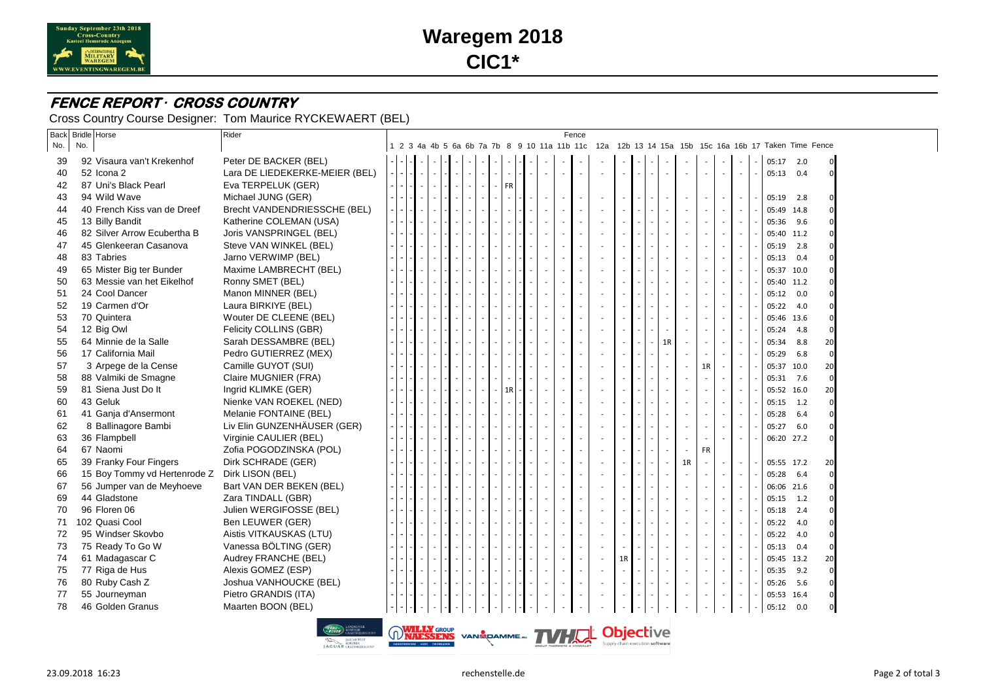

# **Waregem 2018 CIC1\***

### **FENCE REPORT** *·* **CROSS COUNTRY**

Cross Country Course Designer: Tom Maurice RYCKEWAERT (BEL)

| No.<br>92 Visaura van't Krekenhof<br>52 Icona 2 | Peter DE BACKER (BEL)                                                                                                                                                                                                                                                                                                                                                                                                                                                                                                                                                    |                                                             |    |  |  |  |           |    |  |  |                          |                          |  | 1 2 3 4a 4b 5 6a 6b 7a 7b 8 9 10 11a 11b 11c 12a 12b 13 14 15a 15b 15c 16a 16b 17 Taken Time Fence |                          |                          |                          |            |     |                                                                                                                                                                                                                                                     |
|-------------------------------------------------|--------------------------------------------------------------------------------------------------------------------------------------------------------------------------------------------------------------------------------------------------------------------------------------------------------------------------------------------------------------------------------------------------------------------------------------------------------------------------------------------------------------------------------------------------------------------------|-------------------------------------------------------------|----|--|--|--|-----------|----|--|--|--------------------------|--------------------------|--|----------------------------------------------------------------------------------------------------|--------------------------|--------------------------|--------------------------|------------|-----|-----------------------------------------------------------------------------------------------------------------------------------------------------------------------------------------------------------------------------------------------------|
|                                                 |                                                                                                                                                                                                                                                                                                                                                                                                                                                                                                                                                                          |                                                             |    |  |  |  |           |    |  |  |                          |                          |  |                                                                                                    |                          |                          |                          |            |     |                                                                                                                                                                                                                                                     |
|                                                 |                                                                                                                                                                                                                                                                                                                                                                                                                                                                                                                                                                          |                                                             |    |  |  |  |           |    |  |  |                          |                          |  |                                                                                                    |                          |                          |                          | 05:17 2.0  |     | $\mathbf 0$                                                                                                                                                                                                                                         |
|                                                 | Lara DE LIEDEKERKE-MEIER (BEL)                                                                                                                                                                                                                                                                                                                                                                                                                                                                                                                                           |                                                             |    |  |  |  |           |    |  |  |                          | $\overline{\phantom{a}}$ |  |                                                                                                    | $\overline{\phantom{a}}$ |                          |                          | 05:13 0.4  |     | $\mathbf 0$                                                                                                                                                                                                                                         |
| 87 Uni's Black Pearl                            | Eva TERPELUK (GER)                                                                                                                                                                                                                                                                                                                                                                                                                                                                                                                                                       |                                                             |    |  |  |  | <b>FR</b> |    |  |  |                          |                          |  |                                                                                                    |                          |                          |                          |            |     |                                                                                                                                                                                                                                                     |
| 94 Wild Wave                                    | Michael JUNG (GER)                                                                                                                                                                                                                                                                                                                                                                                                                                                                                                                                                       |                                                             |    |  |  |  |           |    |  |  |                          |                          |  |                                                                                                    |                          |                          |                          | 05:19      | 2.8 |                                                                                                                                                                                                                                                     |
| 40 French Kiss van de Dreef                     | Brecht VANDENDRIESSCHE (BEL)                                                                                                                                                                                                                                                                                                                                                                                                                                                                                                                                             |                                                             |    |  |  |  |           |    |  |  | $\sim$                   |                          |  |                                                                                                    |                          | $\overline{\phantom{a}}$ |                          | 05:49 14.8 |     |                                                                                                                                                                                                                                                     |
| 13 Billy Bandit                                 | Katherine COLEMAN (USA)                                                                                                                                                                                                                                                                                                                                                                                                                                                                                                                                                  |                                                             |    |  |  |  |           |    |  |  | $\overline{\phantom{a}}$ | $\sim$                   |  |                                                                                                    | $\overline{\phantom{a}}$ |                          |                          | 05:36 9.6  |     |                                                                                                                                                                                                                                                     |
|                                                 | Joris VANSPRINGEL (BEL)                                                                                                                                                                                                                                                                                                                                                                                                                                                                                                                                                  |                                                             |    |  |  |  |           |    |  |  |                          |                          |  |                                                                                                    |                          |                          |                          |            |     |                                                                                                                                                                                                                                                     |
|                                                 | Steve VAN WINKEL (BEL)                                                                                                                                                                                                                                                                                                                                                                                                                                                                                                                                                   |                                                             |    |  |  |  |           |    |  |  | $\sim$                   |                          |  |                                                                                                    |                          |                          |                          | 05:19      | 2.8 |                                                                                                                                                                                                                                                     |
|                                                 | Jarno VERWIMP (BEL)                                                                                                                                                                                                                                                                                                                                                                                                                                                                                                                                                      |                                                             |    |  |  |  |           |    |  |  | $\sim$                   | ÷.                       |  |                                                                                                    | $\overline{\phantom{a}}$ | $\overline{\phantom{a}}$ |                          |            |     |                                                                                                                                                                                                                                                     |
|                                                 | Maxime LAMBRECHT (BEL)                                                                                                                                                                                                                                                                                                                                                                                                                                                                                                                                                   |                                                             |    |  |  |  |           |    |  |  | $\overline{\phantom{a}}$ |                          |  |                                                                                                    |                          |                          |                          |            |     |                                                                                                                                                                                                                                                     |
|                                                 | Ronny SMET (BEL)                                                                                                                                                                                                                                                                                                                                                                                                                                                                                                                                                         |                                                             |    |  |  |  |           |    |  |  |                          |                          |  |                                                                                                    |                          |                          |                          |            |     |                                                                                                                                                                                                                                                     |
| 24 Cool Dancer                                  | Manon MINNER (BEL)                                                                                                                                                                                                                                                                                                                                                                                                                                                                                                                                                       |                                                             |    |  |  |  |           |    |  |  | $\sim$                   |                          |  |                                                                                                    |                          |                          |                          | 05:12      |     |                                                                                                                                                                                                                                                     |
|                                                 |                                                                                                                                                                                                                                                                                                                                                                                                                                                                                                                                                                          |                                                             |    |  |  |  |           |    |  |  | $\sim$                   |                          |  |                                                                                                    |                          | $\overline{\phantom{a}}$ |                          |            |     |                                                                                                                                                                                                                                                     |
|                                                 | Wouter DE CLEENE (BEL)                                                                                                                                                                                                                                                                                                                                                                                                                                                                                                                                                   |                                                             |    |  |  |  |           |    |  |  | $\sim$                   |                          |  |                                                                                                    |                          |                          |                          |            |     |                                                                                                                                                                                                                                                     |
|                                                 | Felicity COLLINS (GBR)                                                                                                                                                                                                                                                                                                                                                                                                                                                                                                                                                   |                                                             |    |  |  |  |           |    |  |  |                          |                          |  |                                                                                                    |                          |                          |                          | 05:24      | 4.8 | $\Omega$                                                                                                                                                                                                                                            |
|                                                 | Sarah DESSAMBRE (BEL)                                                                                                                                                                                                                                                                                                                                                                                                                                                                                                                                                    |                                                             |    |  |  |  |           |    |  |  |                          |                          |  |                                                                                                    |                          |                          |                          | 05:34      | 8.8 | 20                                                                                                                                                                                                                                                  |
|                                                 | Pedro GUTIERREZ (MEX)                                                                                                                                                                                                                                                                                                                                                                                                                                                                                                                                                    |                                                             | ۰. |  |  |  |           |    |  |  | $\sim$                   | ÷.                       |  |                                                                                                    | ۰.                       | $\overline{\phantom{a}}$ | $\overline{\phantom{a}}$ | 05:29      | 6.8 | $\mathbf 0$                                                                                                                                                                                                                                         |
| 3 Arpege de la Cense                            | Camille GUYOT (SUI)                                                                                                                                                                                                                                                                                                                                                                                                                                                                                                                                                      |                                                             |    |  |  |  |           |    |  |  | $\sim$                   |                          |  |                                                                                                    | 1R                       | <b>.</b>                 |                          |            |     | 20                                                                                                                                                                                                                                                  |
|                                                 | Claire MUGNIER (FRA)                                                                                                                                                                                                                                                                                                                                                                                                                                                                                                                                                     |                                                             |    |  |  |  |           |    |  |  | $\sim$                   |                          |  |                                                                                                    |                          | $\overline{\phantom{a}}$ |                          |            |     | $\Omega$                                                                                                                                                                                                                                            |
|                                                 | Ingrid KLIMKE (GER)                                                                                                                                                                                                                                                                                                                                                                                                                                                                                                                                                      |                                                             |    |  |  |  |           |    |  |  | $\sim$                   |                          |  |                                                                                                    |                          |                          |                          |            |     | 20                                                                                                                                                                                                                                                  |
| 43 Geluk                                        | Nienke VAN ROEKEL (NED)                                                                                                                                                                                                                                                                                                                                                                                                                                                                                                                                                  |                                                             |    |  |  |  |           |    |  |  | $\sim$                   |                          |  |                                                                                                    |                          |                          |                          |            |     | $\mathbf 0$                                                                                                                                                                                                                                         |
|                                                 | Melanie FONTAINE (BEL)                                                                                                                                                                                                                                                                                                                                                                                                                                                                                                                                                   |                                                             |    |  |  |  |           |    |  |  | $\sim$                   |                          |  |                                                                                                    |                          |                          |                          | 05:28      | 6.4 |                                                                                                                                                                                                                                                     |
| 8 Ballinagore Bambi                             | Liv Elin GUNZENHÄUSER (GER)                                                                                                                                                                                                                                                                                                                                                                                                                                                                                                                                              |                                                             |    |  |  |  |           |    |  |  |                          |                          |  |                                                                                                    |                          |                          |                          | 05:27      | 6.0 | - 0                                                                                                                                                                                                                                                 |
|                                                 | Virginie CAULIER (BEL)                                                                                                                                                                                                                                                                                                                                                                                                                                                                                                                                                   |                                                             |    |  |  |  |           |    |  |  |                          |                          |  |                                                                                                    |                          |                          |                          |            |     | $\Omega$                                                                                                                                                                                                                                            |
|                                                 | Zofia POGODZINSKA (POL)                                                                                                                                                                                                                                                                                                                                                                                                                                                                                                                                                  |                                                             |    |  |  |  |           |    |  |  |                          |                          |  |                                                                                                    | <b>FR</b>                |                          |                          |            |     |                                                                                                                                                                                                                                                     |
|                                                 | Dirk SCHRADE (GER)                                                                                                                                                                                                                                                                                                                                                                                                                                                                                                                                                       |                                                             |    |  |  |  |           |    |  |  | $\sim$                   | ÷                        |  | 1R                                                                                                 | $\overline{\phantom{a}}$ |                          |                          |            |     | 20                                                                                                                                                                                                                                                  |
|                                                 |                                                                                                                                                                                                                                                                                                                                                                                                                                                                                                                                                                          |                                                             |    |  |  |  |           |    |  |  |                          |                          |  |                                                                                                    |                          |                          |                          | 05:28      |     | $\Omega$                                                                                                                                                                                                                                            |
|                                                 | Bart VAN DER BEKEN (BEL)                                                                                                                                                                                                                                                                                                                                                                                                                                                                                                                                                 |                                                             |    |  |  |  |           |    |  |  | $\sim$                   |                          |  |                                                                                                    |                          |                          |                          |            |     |                                                                                                                                                                                                                                                     |
|                                                 | Zara TINDALL (GBR)                                                                                                                                                                                                                                                                                                                                                                                                                                                                                                                                                       |                                                             |    |  |  |  |           |    |  |  | ÷,                       |                          |  |                                                                                                    |                          |                          |                          | 05:15      |     |                                                                                                                                                                                                                                                     |
| 96 Floren 06                                    | Julien WERGIFOSSE (BEL)                                                                                                                                                                                                                                                                                                                                                                                                                                                                                                                                                  |                                                             |    |  |  |  |           |    |  |  | $\sim$                   |                          |  |                                                                                                    |                          |                          |                          | 05:18      | 2.4 |                                                                                                                                                                                                                                                     |
|                                                 |                                                                                                                                                                                                                                                                                                                                                                                                                                                                                                                                                                          |                                                             |    |  |  |  |           |    |  |  |                          |                          |  |                                                                                                    |                          |                          |                          | 05:22      | 4.0 |                                                                                                                                                                                                                                                     |
|                                                 | Aistis VITKAUSKAS (LTU)                                                                                                                                                                                                                                                                                                                                                                                                                                                                                                                                                  |                                                             |    |  |  |  |           |    |  |  | $\sim$                   |                          |  |                                                                                                    |                          |                          |                          | 05:22      | 4.0 |                                                                                                                                                                                                                                                     |
|                                                 | Vanessa BÖLTING (GER)                                                                                                                                                                                                                                                                                                                                                                                                                                                                                                                                                    |                                                             |    |  |  |  |           |    |  |  |                          |                          |  |                                                                                                    |                          |                          |                          | 05:13      |     | - 0                                                                                                                                                                                                                                                 |
|                                                 | Audrey FRANCHE (BEL)                                                                                                                                                                                                                                                                                                                                                                                                                                                                                                                                                     |                                                             |    |  |  |  |           |    |  |  | $\sim$                   | 1R                       |  |                                                                                                    |                          |                          |                          |            |     | 20                                                                                                                                                                                                                                                  |
|                                                 | Alexis GOMEZ (ESP)                                                                                                                                                                                                                                                                                                                                                                                                                                                                                                                                                       |                                                             |    |  |  |  |           |    |  |  |                          |                          |  |                                                                                                    |                          |                          |                          | 05:35      | 9.2 | $\Omega$                                                                                                                                                                                                                                            |
|                                                 | Joshua VANHOUCKE (BEL)                                                                                                                                                                                                                                                                                                                                                                                                                                                                                                                                                   |                                                             |    |  |  |  |           |    |  |  | $\sim$                   |                          |  |                                                                                                    |                          |                          |                          | 05:26      | 5.6 | $\Omega$                                                                                                                                                                                                                                            |
|                                                 | Pietro GRANDIS (ITA)                                                                                                                                                                                                                                                                                                                                                                                                                                                                                                                                                     |                                                             |    |  |  |  |           |    |  |  |                          |                          |  |                                                                                                    |                          |                          |                          |            |     | 0                                                                                                                                                                                                                                                   |
| 46 Golden Granus                                | Maarten BOON (BEL)                                                                                                                                                                                                                                                                                                                                                                                                                                                                                                                                                       |                                                             |    |  |  |  |           |    |  |  |                          |                          |  |                                                                                                    |                          |                          |                          |            |     | $\mathbf 0$                                                                                                                                                                                                                                         |
|                                                 | 82 Silver Arrow Ecubertha B<br>45 Glenkeeran Casanova<br>83 Tabries<br>65 Mister Big ter Bunder<br>63 Messie van het Eikelhof<br>19 Carmen d'Or<br>70 Quintera<br>12 Big Owl<br>64 Minnie de la Salle<br>17 California Mail<br>88 Valmiki de Smagne<br>81 Siena Just Do It<br>41 Ganja d'Ansermont<br>36 Flampbell<br>67 Naomi<br>39 Franky Four Fingers<br>15 Boy Tommy vd Hertenrode Z<br>56 Jumper van de Meyhoeve<br>44 Gladstone<br>102 Quasi Cool<br>95 Windser Skovbo<br>75 Ready To Go W<br>61 Madagascar C<br>77 Riga de Hus<br>80 Ruby Cash Z<br>55 Journeyman | Laura BIRKIYE (BEL)<br>Dirk LISON (BEL)<br>Ben LEUWER (GER) |    |  |  |  |           | 1R |  |  |                          |                          |  | 1R<br>WILLY GROUP VAN EQAMME. TVHUL Objective                                                      |                          |                          |                          |            |     | 05:40 11.2<br>05:13 0.4<br>05:37 10.0<br>05:40 11.2<br>0.0<br>05:22 4.0<br>05:46 13.6<br>05:37 10.0<br>05:31 7.6<br>05:52 16.0<br>05:15 1.2<br>06:20 27.2<br>05:55 17.2<br>6.4<br>06:06 21.6<br>1.2<br>0.4<br>05:45 13.2<br>05:53 16.4<br>05:12 0.0 |

**AGUAR WE**<br> **LAGUAR** CRAEYMEE

Supply chain execution software